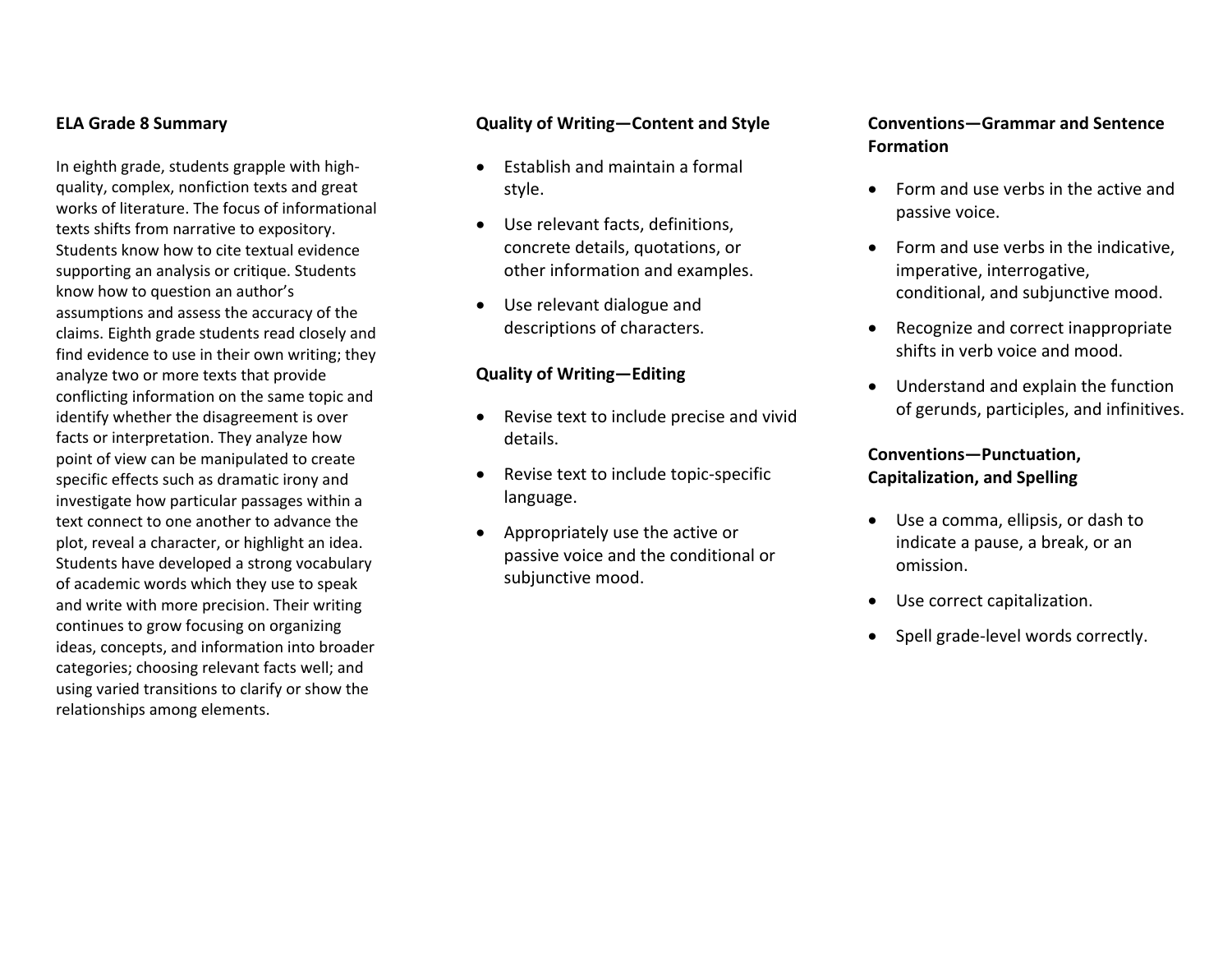#### **ELA Grade 8 Summary**

In eighth grade, students grapple with high‐ quality, complex, nonfiction texts and great works of literature. The focus of informational texts shifts from narrative to expository. Students know how to cite textual evidence supporting an analysis or critique. Students know how to question an author's assumptions and assess the accuracy of the claims. Eighth grade students read closely and find evidence to use in their own writing; they analyze two or more texts that provide conflicting information on the same topic and identify whether the disagreement is over facts or interpretation. They analyze how point of view can be manipulated to create specific effects such as dramatic irony and investigate how particular passages within <sup>a</sup> text connect to one another to advance the plot, reveal <sup>a</sup> character, or highlight an idea. Students have developed <sup>a</sup> strong vocabulary of academic words which they use to speak and write with more precision. Their writing continues to grow focusing on organizing ideas, concepts, and information into broader categories; choosing relevant facts well; and using varied transitions to clarify or show the relationships among elements.

#### **Quality of Writing—Content and Style**

- Establish and maintain <sup>a</sup> formal style.
- $\bullet$  Use relevant facts, definitions, concrete details, quotations, or other information and examples.
- Use relevant dialogue and descriptions of characters.

#### **Quality of Writing—Editing**

- Revise text to include precise and vivid details.
- $\bullet$ ● Revise text to include topic-specific language.
- $\bullet$  Appropriately use the active or passive voice and the conditional or subjunctive mood.

## **Conventions—Grammar and Sentence Formation**

- Form and use verbs in the active and passive voice.
- Form and use verbs in the indicative, imperative, interrogative, conditional, and subjunctive mood.
- **•** Recognize and correct inappropriate shifts in verb voice and mood.
- Understand and explain the function of gerunds, participles, and infinitives.

## **Conventions—Punctuation, Capitalization, and Spelling**

- Use <sup>a</sup> comma, ellipsis, or dash to indicate <sup>a</sup> pause, <sup>a</sup> break, or an omission.
- Use correct capitalization.
- 0 Spell grade‐level words correctly.